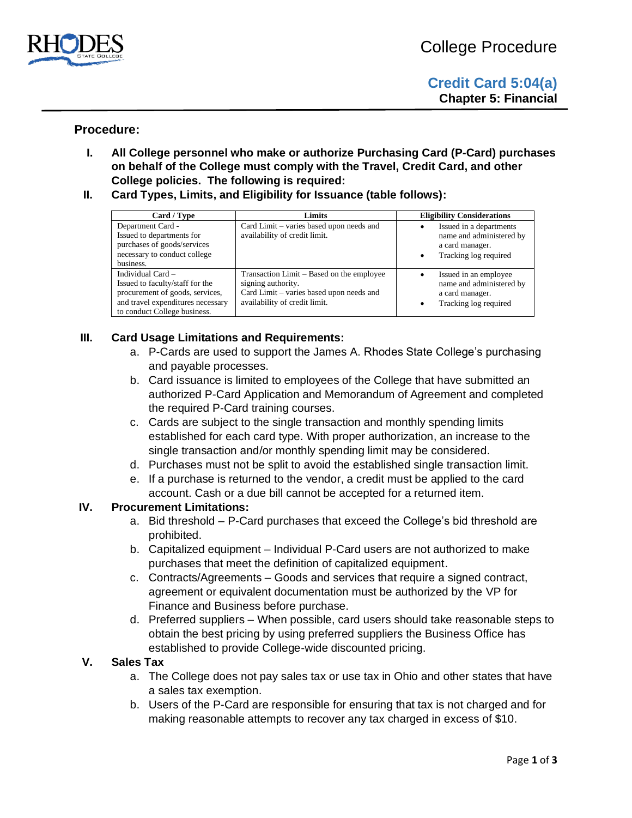

# **Procedure:**

- **I. All College personnel who make or authorize Purchasing Card (P-Card) purchases on behalf of the College must comply with the Travel, Credit Card, and other College policies. The following is required:**
- **II. Card Types, Limits, and Eligibility for Issuance (table follows):**

| Card / Type                                                                                                                                                    | Limits                                                                                                                                       | <b>Eligibility Considerations</b>                                                               |
|----------------------------------------------------------------------------------------------------------------------------------------------------------------|----------------------------------------------------------------------------------------------------------------------------------------------|-------------------------------------------------------------------------------------------------|
| Department Card -<br>Issued to departments for<br>purchases of goods/services<br>necessary to conduct college<br>business.                                     | Card Limit – varies based upon needs and<br>availability of credit limit.                                                                    | Issued in a departments<br>name and administered by<br>a card manager.<br>Tracking log required |
| Individual Card $-$<br>Issued to faculty/staff for the<br>procurement of goods, services,<br>and travel expenditures necessary<br>to conduct College business. | Transaction Limit – Based on the employee<br>signing authority.<br>Card Limit – varies based upon needs and<br>availability of credit limit. | Issued in an employee<br>name and administered by<br>a card manager.<br>Tracking log required   |

### **III. Card Usage Limitations and Requirements:**

- a. P-Cards are used to support the James A. Rhodes State College's purchasing and payable processes.
- b. Card issuance is limited to employees of the College that have submitted an authorized P-Card Application and Memorandum of Agreement and completed the required P-Card training courses.
- c. Cards are subject to the single transaction and monthly spending limits established for each card type. With proper authorization, an increase to the single transaction and/or monthly spending limit may be considered.
- d. Purchases must not be split to avoid the established single transaction limit.
- e. If a purchase is returned to the vendor, a credit must be applied to the card account. Cash or a due bill cannot be accepted for a returned item.

#### **IV. Procurement Limitations:**

- a. Bid threshold P-Card purchases that exceed the College's bid threshold are prohibited.
- b. Capitalized equipment Individual P-Card users are not authorized to make purchases that meet the definition of capitalized equipment.
- c. Contracts/Agreements Goods and services that require a signed contract, agreement or equivalent documentation must be authorized by the VP for Finance and Business before purchase.
- d. Preferred suppliers When possible, card users should take reasonable steps to obtain the best pricing by using preferred suppliers the Business Office has established to provide College-wide discounted pricing.

#### **V. Sales Tax**

- a. The College does not pay sales tax or use tax in Ohio and other states that have a sales tax exemption.
- b. Users of the P-Card are responsible for ensuring that tax is not charged and for making reasonable attempts to recover any tax charged in excess of \$10.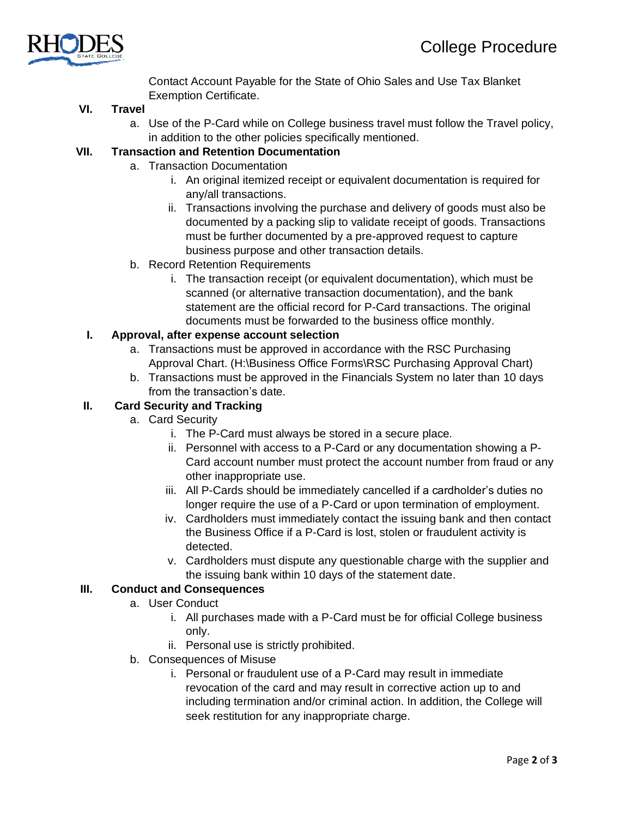

Contact Account Payable for the State of Ohio Sales and Use Tax Blanket Exemption Certificate.

### **VI. Travel**

a. Use of the P-Card while on College business travel must follow the Travel policy, in addition to the other policies specifically mentioned.

# **VII. Transaction and Retention Documentation**

- a. Transaction Documentation
	- i. An original itemized receipt or equivalent documentation is required for any/all transactions.
	- ii. Transactions involving the purchase and delivery of goods must also be documented by a packing slip to validate receipt of goods. Transactions must be further documented by a pre-approved request to capture business purpose and other transaction details.
- b. Record Retention Requirements
	- i. The transaction receipt (or equivalent documentation), which must be scanned (or alternative transaction documentation), and the bank statement are the official record for P-Card transactions. The original documents must be forwarded to the business office monthly.

# **I. Approval, after expense account selection**

- a. Transactions must be approved in accordance with the RSC Purchasing Approval Chart. (H:\Business Office Forms\RSC Purchasing Approval Chart)
- b. Transactions must be approved in the Financials System no later than 10 days from the transaction's date.

#### **II. Card Security and Tracking**

- a. Card Security
	- i. The P-Card must always be stored in a secure place.
	- ii. Personnel with access to a P-Card or any documentation showing a P-Card account number must protect the account number from fraud or any other inappropriate use.
	- iii. All P-Cards should be immediately cancelled if a cardholder's duties no longer require the use of a P-Card or upon termination of employment.
	- iv. Cardholders must immediately contact the issuing bank and then contact the Business Office if a P-Card is lost, stolen or fraudulent activity is detected.
	- v. Cardholders must dispute any questionable charge with the supplier and the issuing bank within 10 days of the statement date.

#### **III. Conduct and Consequences**

- a. User Conduct
	- i. All purchases made with a P-Card must be for official College business only.
	- ii. Personal use is strictly prohibited.
- b. Consequences of Misuse
	- i. Personal or fraudulent use of a P-Card may result in immediate revocation of the card and may result in corrective action up to and including termination and/or criminal action. In addition, the College will seek restitution for any inappropriate charge.